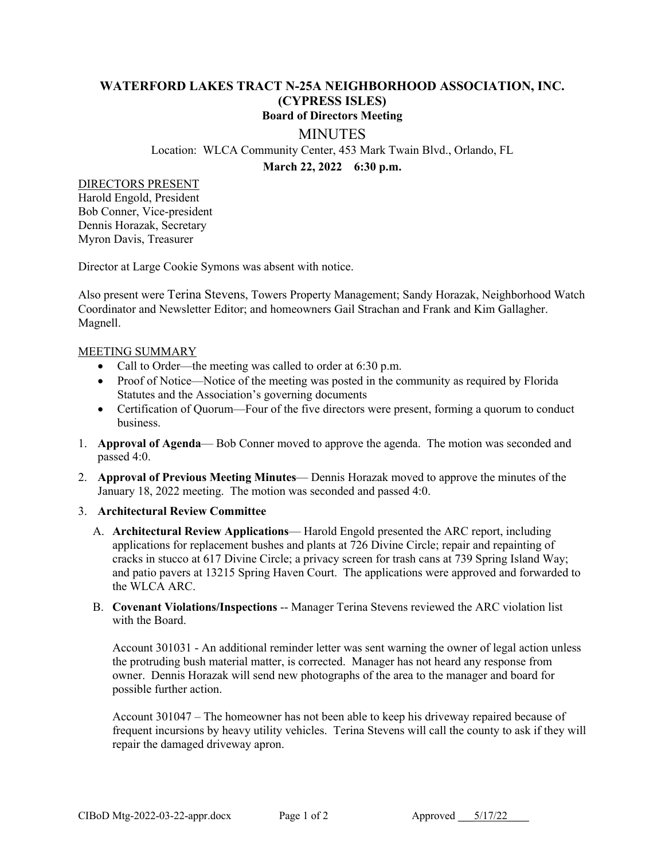## **WATERFORD LAKES TRACT N-25A NEIGHBORHOOD ASSOCIATION, INC. (CYPRESS ISLES) Board of Directors Meeting**

## **MINUTES**

Location: WLCA Community Center, 453 Mark Twain Blvd., Orlando, FL

**March 22, 2022 6:30 p.m.**

DIRECTORS PRESENT

Harold Engold, President Bob Conner, Vice-president Dennis Horazak, Secretary Myron Davis, Treasurer

Director at Large Cookie Symons was absent with notice.

Also present were Terina Stevens, Towers Property Management; Sandy Horazak, Neighborhood Watch Coordinator and Newsletter Editor; and homeowners Gail Strachan and Frank and Kim Gallagher. Magnell.

## MEETING SUMMARY

- Call to Order—the meeting was called to order at 6:30 p.m.
- Proof of Notice—Notice of the meeting was posted in the community as required by Florida Statutes and the Association's governing documents
- Certification of Quorum—Four of the five directors were present, forming a quorum to conduct business.
- 1. **Approval of Agenda** Bob Conner moved to approve the agenda. The motion was seconded and passed 4:0.
- 2. **Approval of Previous Meeting Minutes** Dennis Horazak moved to approve the minutes of the January 18, 2022 meeting. The motion was seconded and passed 4:0.

## 3. **Architectural Review Committee**

- A. **Architectural Review Applications** Harold Engold presented the ARC report, including applications for replacement bushes and plants at 726 Divine Circle; repair and repainting of cracks in stucco at 617 Divine Circle; a privacy screen for trash cans at 739 Spring Island Way; and patio pavers at 13215 Spring Haven Court. The applications were approved and forwarded to the WLCA ARC.
- B. **Covenant Violations/Inspections** -- Manager Terina Stevens reviewed the ARC violation list with the Board.

Account 301031 - An additional reminder letter was sent warning the owner of legal action unless the protruding bush material matter, is corrected. Manager has not heard any response from owner. Dennis Horazak will send new photographs of the area to the manager and board for possible further action.

Account 301047 – The homeowner has not been able to keep his driveway repaired because of frequent incursions by heavy utility vehicles. Terina Stevens will call the county to ask if they will repair the damaged driveway apron.